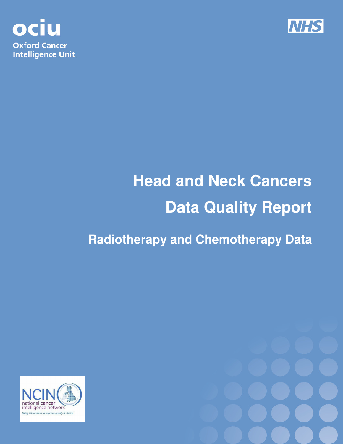



# **Head and Neck Cancers Data Quality Report**

# **Radiotherapy and Chemotherapy Data**



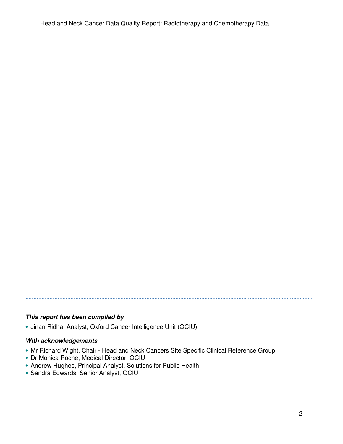#### **This report has been compiled by**

• Jinan Ridha, Analyst, Oxford Cancer Intelligence Unit (OCIU)

#### **With acknowledgements**

• Mr Richard Wight, Chair - Head and Neck Cancers Site Specific Clinical Reference Group

- Dr Monica Roche, Medical Director, OCIU
- Andrew Hughes, Principal Analyst, Solutions for Public Health
- Sandra Edwards, Senior Analyst, OCIU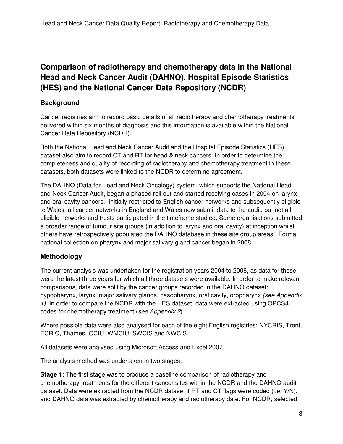## **Comparison of radiotherapy and chemotherapy data in the National Head and Neck Cancer Audit (DAHNO), Hospital Episode Statistics (HES) and the National Cancer Data Repository (NCDR)**

#### **Background**

Cancer registries aim to record basic details of all radiotherapy and chemotherapy treatments delivered within six months of diagnosis and this information is available within the National Cancer Data Repository (NCDR).

Both the National Head and Neck Cancer Audit and the Hospital Episode Statistics (HES) dataset also aim to record CT and RT for head & neck cancers. In order to determine the completeness and quality of recording of radiotherapy and chemotherapy treatment in these datasets, both datasets were linked to the NCDR to determine agreement.

The DAHNO (Data for Head and Neck Oncology) system, which supports the National Head and Neck Cancer Audit, began a phased roll out and started receiving cases in 2004 on larynx and oral cavity cancers. Initially restricted to English cancer networks and subsequently eligible to Wales, all cancer networks in England and Wales now submit data to the audit, but not all eligible networks and trusts participated in the timeframe studied. Some organisations submitted a broader range of tumour site groups (in addition to larynx and oral cavity) at inception whilst others have retrospectively populated the DAHNO database in these site group areas. Formal national collection on pharynx and major salivary gland cancer began in 2008.

#### **Methodology**

The current analysis was undertaken for the registration years 2004 to 2006, as data for these were the latest three years for which all three datasets were available. In order to make relevant comparisons, data were split by the cancer groups recorded in the DAHNO dataset: hypopharynx, larynx, major salivary glands, nasopharynx, oral cavity, oropharynx (see Appendix 1). In order to compare the NCDR with the HES dataset, data were extracted using OPCS4 codes for chemotherapy treatment (see Appendix 2).

Where possible data were also analysed for each of the eight English registries: NYCRIS, Trent, ECRIC, Thames, OCIU, WMCIU, SWCIS and NWCIS.

All datasets were analysed using Microsoft Access and Excel 2007.

The analysis method was undertaken in two stages:

**Stage 1:** The first stage was to produce a baseline comparison of radiotherapy and chemotherapy treatments for the different cancer sites within the NCDR and the DAHNO audit dataset. Data were extracted from the NCDR dataset if RT and CT flags were coded (i.e. Y/N), and DAHNO data was extracted by chemotherapy and radiotherapy date. For NCDR, selected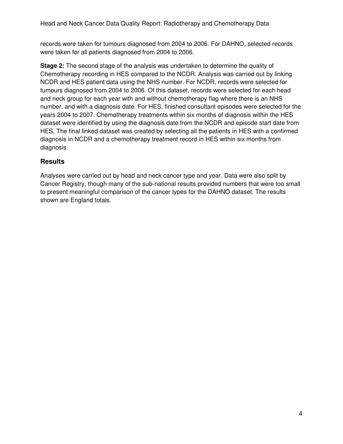records were taken for tumours diagnosed from 2004 to 2006. For DAHNO, selected records were taken for all patients diagnosed from 2004 to 2006.

**Stage 2:** The second stage of the analysis was undertaken to determine the quality of Chemotherapy recording in HES compared to the NCDR. Analysis was carried out by linking NCDR and HES patient data using the NHS number. For NCDR, records were selected for tumours diagnosed from 2004 to 2006. Of this dataset, records were selected for each head and neck group for each year with and without chemotherapy flag where there is an NHS number, and with a diagnosis date. For HES, finished consultant episodes were selected for the years 2004 to 2007. Chemotherapy treatments within six months of diagnosis within the HES dataset were identified by using the diagnosis date from the NCDR and episode start date from HES. The final linked dataset was created by selecting all the patients in HES with a confirmed diagnosis in NCDR and a chemotherapy treatment record in HES within six months from diagnosis.

#### **Results**

Analyses were carried out by head and neck cancer type and year. Data were also split by Cancer Registry, though many of the sub-national results provided numbers that were too small to present meaningful comparison of the cancer types for the DAHNO dataset. The results shown are England totals.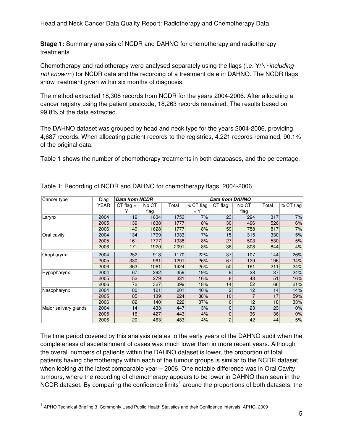Head and Neck Cancer Data Quality Report: Radiotherapy and Chemotherapy Data

**Stage 1:** Summary analysis of NCDR and DAHNO for chemotherapy and radiotherapy treatments

Chemotherapy and radiotherapy were analysed separately using the flags (i.e.  $Y/N \sim$ including not known~) for NCDR data and the recording of a treatment date in DAHNO. The NCDR flags show treatment given within six months of diagnosis.

The method extracted 18,308 records from NCDR for the years 2004-2006. After allocating a cancer registry using the patient postcode, 18,263 records remained. The results based on 99.8% of the data extracted.

The DAHNO dataset was grouped by head and neck type for the years 2004-2006, providing 4,687 records. When allocating patient records to the registries, 4,221 records remained, 90.1% of the original data.

Table 1 shows the number of chemotherapy treatments in both databases, and the percentage.

| Cancer type           | Diag        | <b>Data from NCDR</b> |       |       |           | Data from DAHNO |       |       |           |  |
|-----------------------|-------------|-----------------------|-------|-------|-----------|-----------------|-------|-------|-----------|--|
|                       | <b>YEAR</b> | $CT flag =$           | No CT | Total | % CT flag | CT flag         | No CT | Total | % CT flag |  |
|                       |             |                       | flag  |       | $= Y$     |                 | flag  |       |           |  |
| Larynx                | 2004        | 119                   | 1634  | 1753  | 7%        | 23              | 294   | 317   | 7%        |  |
|                       | 2005        | 139                   | 1638  | 1777  | 8%        | 30 <sup>°</sup> | 496   | 526   | 6%        |  |
|                       | 2006        | 149                   | 1628  | 1777  | 8%        | 59              | 758   | 817   | 7%        |  |
| Oral cavity           | 2004        | 134                   | 1799  | 1933  | 7%        | 15              | 315   | 330   | 5%        |  |
|                       | 2005        | 161                   | 1777  | 1938  | 8%        | 27              | 503   | 530   | 5%        |  |
|                       | 2006        | 171                   | 1920  | 2091  | 8%        | 36              | 808   | 844   | 4%        |  |
| Oropharynx            | 2004        | 252                   | 918   | 1170  | 22%       | 37              | 107   | 144   | 26%       |  |
|                       | 2005        | 330                   | 961   | 1291  | 26%       | 67              | 129   | 196   | 34%       |  |
|                       | 2006        | 363                   | 1061  | 1424  | 25%       | 50              | 161   | 211   | 24%       |  |
| Hypopharynx           | 2004        | 67                    | 292   | 359   | 19%       | 9               | 28    | 37    | 24%       |  |
|                       | 2005        | 52                    | 279   | 331   | 16%       | 8               | 43    | 51    | 16%       |  |
|                       | 2006        | 72                    | 327   | 399   | 18%       | 14              | 52    | 66    | 21%       |  |
| Nasopharynx           | 2004        | 80                    | 121   | 201   | 40%       | $\overline{c}$  | 12    | 14    | 14%       |  |
|                       | 2005        | 85                    | 139   | 224   | 38%       | 10              |       | 17    | 59%       |  |
|                       | 2006        | 82                    | 140   | 222   | 37%       | 6               | 12    | 18    | 33%       |  |
| Major salivary glands | 2004        | 14                    | 433   | 447   | 3%        | 0               | 23    | 23    | 0%        |  |
|                       | 2005        | 16                    | 427   | 443   | 4%        | $\overline{0}$  | 36    | 36    | 0%        |  |
|                       | 2006        | 20                    | 463   | 483   | 4%        | $\overline{c}$  | 42    | 44    | 5%        |  |

Table 1: Recording of NCDR and DAHNO for chemotherapy flags, 2004-2006

The time period covered by this analysis relates to the early years of the DAHNO audit when the completeness of ascertainment of cases was much lower than in more recent years. Although the overall numbers of patients within the DAHNO dataset is lower, the proportion of total patients having chemotherapy within each of the tumour groups is similar to the NCDR dataset when looking at the latest comparable year – 2006. One notable difference was in Oral Cavity tumours, where the recording of chemotherapy appears to be lower in DAHNO than seen in the NCDR dataset. By comparing the confidence limits<sup>1</sup> around the proportions of both datasets, the

j

<sup>&</sup>lt;sup>1</sup> APHO Technical Briefing 3: Commonly Used Public Health Statistics and their Confidence Intervals, APHO, 2009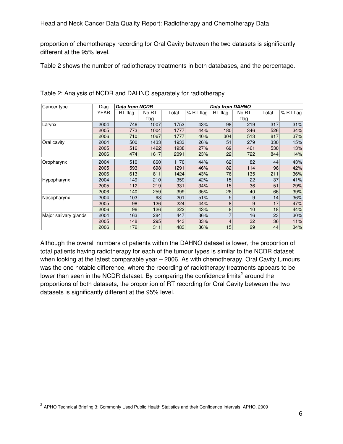proportion of chemotherapy recording for Oral Cavity between the two datasets is significantly different at the 95% level.

Table 2 shows the number of radiotherapy treatments in both databases, and the percentage.

| Cancer type           | Diag | <b>Data from NCDR</b> |       |       |           | <b>Data from DAHNO</b> |       |       |           |
|-----------------------|------|-----------------------|-------|-------|-----------|------------------------|-------|-------|-----------|
|                       | YEAR | RT flag               | No RT | Total | % RT flag | RT flag                | No RT | Total | % RT flag |
|                       |      |                       | flag  |       |           |                        | flag  |       |           |
| Larynx                | 2004 | 746                   | 1007  | 1753  | 43%       | 98                     | 219   | 317   | 31%       |
|                       | 2005 | 773                   | 1004  | 1777  | 44%       | 180                    | 346   | 526   | 34%       |
|                       | 2006 | 710                   | 1067  | 1777  | 40%       | 304                    | 513   | 817   | 37%       |
| Oral cavity           | 2004 | 500                   | 1433  | 1933  | 26%       | 51                     | 279   | 330   | 15%       |
|                       | 2005 | 516                   | 1422  | 1938  | 27%       | 69                     | 461   | 530   | 13%       |
|                       | 2006 | 474                   | 1617  | 2091  | 23%       | 122                    | 722   | 844   | 14%       |
| Oropharynx            | 2004 | 510                   | 660   | 1170  | 44%       | 62                     | 82    | 144   | 43%       |
|                       | 2005 | 593                   | 698   | 1291  | 46%       | 82                     | 114   | 196   | 42%       |
|                       | 2006 | 613                   | 811   | 1424  | 43%       | 76                     | 135   | 211   | 36%       |
| Hypopharynx           | 2004 | 149                   | 210   | 359   | 42%       | 15                     | 22    | 37    | 41%       |
|                       | 2005 | 112                   | 219   | 331   | 34%       | 15                     | 36    | 51    | 29%       |
|                       | 2006 | 140                   | 259   | 399   | 35%       | 26                     | 40    | 66    | 39%       |
| Nasopharynx           | 2004 | 103                   | 98    | 201   | 51%       | 5                      | 9     | 14    | 36%       |
|                       | 2005 | 98                    | 126   | 224   | 44%       | 8                      | 9     | 17    | 47%       |
|                       | 2006 | 96                    | 126   | 222   | 43%       | 8                      | 10    | 18    | 44%       |
| Major salivary glands | 2004 | 163                   | 284   | 447   | 36%       | 7                      | 16    | 23    | 30%       |
|                       | 2005 | 148                   | 295   | 443   | 33%       | 4                      | 32    | 36    | 11%       |
|                       | 2006 | 172                   | 311   | 483   | 36%       | 15                     | 29    | 44    | 34%       |

Table 2: Analysis of NCDR and DAHNO separately for radiotherapy

Although the overall numbers of patients within the DAHNO dataset is lower, the proportion of total patients having radiotherapy for each of the tumour types is similar to the NCDR dataset when looking at the latest comparable year – 2006. As with chemotherapy, Oral Cavity tumours was the one notable difference, where the recording of radiotherapy treatments appears to be lower than seen in the NCDR dataset. By comparing the confidence limits<sup>2</sup> around the proportions of both datasets, the proportion of RT recording for Oral Cavity between the two datasets is significantly different at the 95% level.

j

<sup>&</sup>lt;sup>2</sup> APHO Technical Briefing 3: Commonly Used Public Health Statistics and their Confidence Intervals, APHO, 2009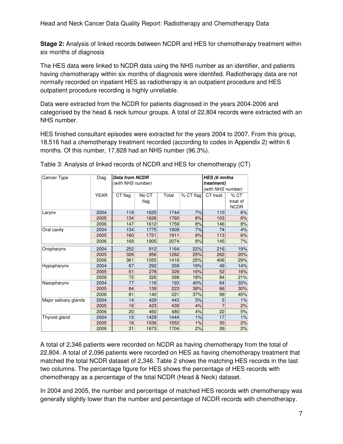Head and Neck Cancer Data Quality Report: Radiotherapy and Chemotherapy Data

**Stage 2:** Analysis of linked records between NCDR and HES for chemotherapy treatment within six months of diagnosis

The HES data were linked to NCDR data using the NHS number as an identifier, and patients having chemotherapy within six months of diagnosis were identifed. Radiotherapy data are not normally recorded on inpatient HES as radiotherapy is an outpatient procedure and HES outpatient procedure recording is highly unreliable.

Data were extracted from the NCDR for patients diagnosed in the years 2004-2006 and categorised by the head & neck tumour groups. A total of 22,804 records were extracted with an NHS number.

HES finished consultant episodes were extracted for the years 2004 to 2007. From this group, 18,516 had a chemotherapy treatment recorded (according to codes in Appendix 2) within 6 months. Of this number, 17,828 had an NHS number (96.3%).

| Cancer Type           | Diag        | <b>Data from NCDR</b> |       | HES (6 mnths      |           |                |             |
|-----------------------|-------------|-----------------------|-------|-------------------|-----------|----------------|-------------|
|                       |             | (with NHS number)     |       | <i>treatment)</i> |           |                |             |
|                       |             |                       |       | (with NHS number) |           |                |             |
|                       | <b>YEAR</b> | CT flag               | No CT | Total             | % CT flag | CT treat       | $%$ CT      |
|                       |             |                       | flag  |                   |           |                | treat of    |
|                       |             |                       |       |                   |           |                | <b>NCDR</b> |
| Larynx                | 2004        | 119                   | 1625  | 1744              | 7%        | 110            | 6%          |
|                       | 2005        | 134                   | 1626  | 1760              | 8%        | 103            | 6%          |
|                       | 2006        | 147                   | 1612  | 1759              | 8%        | 146            | 8%          |
| Oral cavity           | 2004        | 134                   | 1775  | 1909              | 7%        | 74             | 4%          |
|                       | 2005        | 160                   | 1751  | 1911              | 8%        | 113            | 6%          |
|                       | 2006        | 169                   | 1905  | 2074              | 8%        | 145            | 7%          |
| Oropharynx            | 2004        | 252                   | 912   | 1164              | 22%       | 216            | 19%         |
|                       | 2005        | 326                   | 956   | 1282              | 25%       | 262            | 20%         |
|                       | 2006        | 361                   | 1055  | 1416              | 25%       | 406            | 29%         |
| Hypopharynx           | 2004        | 67                    | 292   | 359               | 19%       | 49             | 14%         |
|                       | 2005        | 51                    | 278   | 329               | 16%       | 52             | 16%         |
|                       | 2006        | 72                    | 326   | 398               | 18%       | 84             | 21%         |
| Nasopharynx           | 2004        | 77                    | 116   | 193               | 40%       | 64             | 33%         |
|                       | 2005        | 84                    | 139   | 223               | 38%       | 66             | 30%         |
|                       | 2006        | 81                    | 140   | 221               | 37%       | 99             | 45%         |
| Major salivary glands | 2004        | 14                    | 429   | 443               | 3%        | 5              | 1%          |
|                       | 2005        | 16                    | 423   | 439               | 4%        | $\overline{7}$ | 2%          |
|                       | 2006        | 20                    | 460   | 480               | 4%        | 22             | 5%          |
| Thyroid gland         | 2004        | 15                    | 1429  | 1444              | 1%        | 17             | 1%          |
|                       | 2005        | 16                    | 1536  | 1552              | 1%        | 30             | 2%          |
|                       | 2006        | 31                    | 1673  | 1704              | 2%        | 26             | 2%          |

Table 3: Analysis of linked records of NCDR and HES for chemotherapy (CT)

A total of 2,346 patients were recorded on NCDR as having chemotherapy from the total of 22,804. A total of 2,096 patients were recorded on HES as having chemotherapy treatment that matched the total NCDR dataset of 2,346. Table 2 shows the matching HES records in the last two columns. The percentage figure for HES shows the percentage of HES records with chemotherapy as a percentage of the total NCDR (Head & Neck) dataset.

In 2004 and 2005, the number and percentage of matched HES records with chemotherapy was generally slightly lower than the number and percentage of NCDR records with chemotherapy.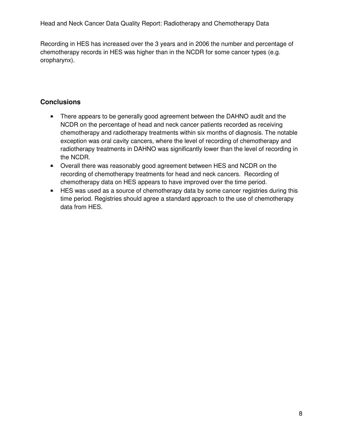Recording in HES has increased over the 3 years and in 2006 the number and percentage of chemotherapy records in HES was higher than in the NCDR for some cancer types (e.g. oropharynx).

#### **Conclusions**

- There appears to be generally good agreement between the DAHNO audit and the NCDR on the percentage of head and neck cancer patients recorded as receiving chemotherapy and radiotherapy treatments within six months of diagnosis. The notable exception was oral cavity cancers, where the level of recording of chemotherapy and radiotherapy treatments in DAHNO was significantly lower than the level of recording in the NCDR.
- Overall there was reasonably good agreement between HES and NCDR on the recording of chemotherapy treatments for head and neck cancers. Recording of chemotherapy data on HES appears to have improved over the time period.
- HES was used as a source of chemotherapy data by some cancer registries during this time period. Registries should agree a standard approach to the use of chemotherapy data from HES.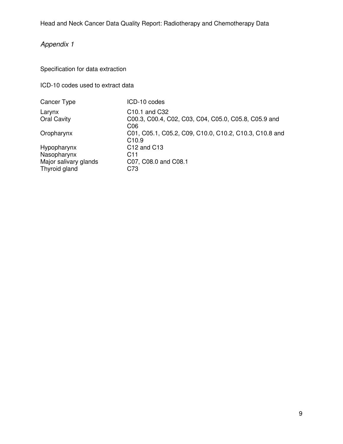## Appendix 1

Specification for data extraction

ICD-10 codes used to extract data

| Cancer Type                  | ICD-10 codes                                                                                   |
|------------------------------|------------------------------------------------------------------------------------------------|
| Larynx<br><b>Oral Cavity</b> | C <sub>10.1</sub> and C <sub>32</sub><br>C00.3, C00.4, C02, C03, C04, C05.0, C05.8, C05.9 and  |
| Oropharynx                   | C <sub>06</sub><br>C01, C05.1, C05.2, C09, C10.0, C10.2, C10.3, C10.8 and<br>C <sub>10.9</sub> |
| Hypopharynx                  | C <sub>12</sub> and C <sub>13</sub>                                                            |
| Nasopharynx                  | C11                                                                                            |
| Major salivary glands        | C07, C08.0 and C08.1                                                                           |
| Thyroid gland                | C73                                                                                            |